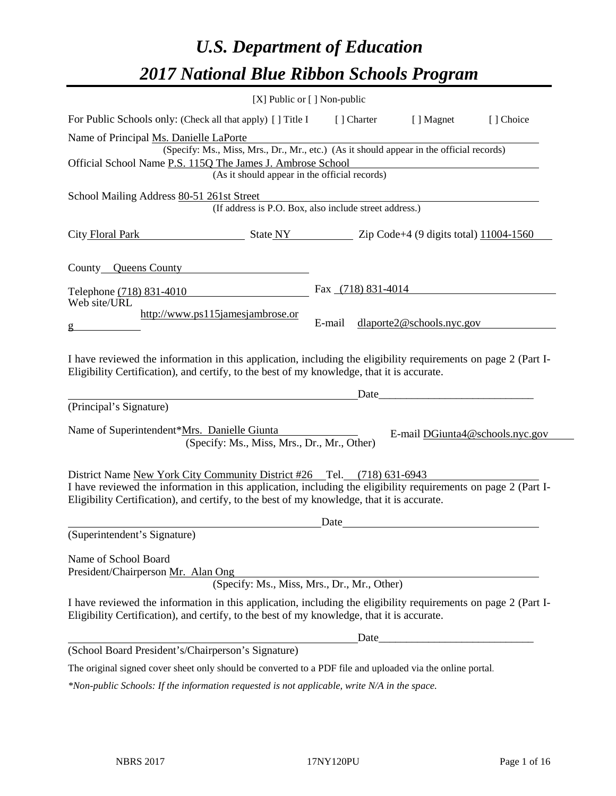# *U.S. Department of Education 2017 National Blue Ribbon Schools Program*

|                                                                                                                                                                                                              | [X] Public or [] Non-public                                                                                    |                      |                                                                                                                                |                                 |
|--------------------------------------------------------------------------------------------------------------------------------------------------------------------------------------------------------------|----------------------------------------------------------------------------------------------------------------|----------------------|--------------------------------------------------------------------------------------------------------------------------------|---------------------------------|
| For Public Schools only: (Check all that apply) [] Title I                                                                                                                                                   |                                                                                                                | [ ] Charter          | [ ] Magnet                                                                                                                     | [] Choice                       |
| Name of Principal Ms. Danielle LaPorte                                                                                                                                                                       |                                                                                                                |                      |                                                                                                                                |                                 |
|                                                                                                                                                                                                              | (Specify: Ms., Miss, Mrs., Dr., Mr., etc.) (As it should appear in the official records)                       |                      |                                                                                                                                |                                 |
| Official School Name P.S. 115Q The James J. Ambrose School                                                                                                                                                   | (As it should appear in the official records)                                                                  |                      |                                                                                                                                |                                 |
|                                                                                                                                                                                                              |                                                                                                                |                      |                                                                                                                                |                                 |
| School Mailing Address 80-51 261st Street                                                                                                                                                                    |                                                                                                                |                      |                                                                                                                                |                                 |
|                                                                                                                                                                                                              | (If address is P.O. Box, also include street address.)                                                         |                      |                                                                                                                                |                                 |
| City Floral Park State NY State NY 2ip Code+4 (9 digits total) 11004-1560                                                                                                                                    |                                                                                                                |                      |                                                                                                                                |                                 |
| County <b>Queens County</b>                                                                                                                                                                                  |                                                                                                                |                      |                                                                                                                                |                                 |
| Telephone (718) 831-4010                                                                                                                                                                                     |                                                                                                                | Fax $(718)$ 831-4014 |                                                                                                                                |                                 |
| Web site/URL                                                                                                                                                                                                 |                                                                                                                |                      |                                                                                                                                |                                 |
|                                                                                                                                                                                                              | http://www.ps115jamesjambrose.or                                                                               | E-mail               | dlaporte2@ schools.nyc.gov                                                                                                     |                                 |
| g                                                                                                                                                                                                            |                                                                                                                |                      |                                                                                                                                |                                 |
| I have reviewed the information in this application, including the eligibility requirements on page 2 (Part I-<br>Eligibility Certification), and certify, to the best of my knowledge, that it is accurate. |                                                                                                                |                      |                                                                                                                                |                                 |
| (Principal's Signature)                                                                                                                                                                                      |                                                                                                                |                      |                                                                                                                                |                                 |
| Name of Superintendent*Mrs. Danielle Giunta                                                                                                                                                                  | (Specify: Ms., Miss, Mrs., Dr., Mr., Other)                                                                    |                      |                                                                                                                                | E-mail DGiunta4@schools.nyc.gov |
| District Name New York City Community District #26 Tel. (718) 631-6943                                                                                                                                       |                                                                                                                |                      |                                                                                                                                |                                 |
| I have reviewed the information in this application, including the eligibility requirements on page 2 (Part I-<br>Eligibility Certification), and certify, to the best of my knowledge, that it is accurate. |                                                                                                                |                      |                                                                                                                                |                                 |
|                                                                                                                                                                                                              |                                                                                                                | Date                 |                                                                                                                                |                                 |
| (Superintendent's Signature)                                                                                                                                                                                 |                                                                                                                |                      |                                                                                                                                |                                 |
| Name of School Board<br>President/Chairperson Mr. Alan Ong                                                                                                                                                   | (Specify: Ms., Miss, Mrs., Dr., Mr., Other)                                                                    |                      |                                                                                                                                |                                 |
|                                                                                                                                                                                                              |                                                                                                                |                      |                                                                                                                                |                                 |
|                                                                                                                                                                                                              |                                                                                                                |                      |                                                                                                                                |                                 |
| Eligibility Certification), and certify, to the best of my knowledge, that it is accurate.                                                                                                                   | I have reviewed the information in this application, including the eligibility requirements on page 2 (Part I- |                      |                                                                                                                                |                                 |
|                                                                                                                                                                                                              |                                                                                                                |                      | Date_<br><u> 1980 - Johann Barn, mars ann an t-Amhain an t-Amhain an t-Amhain an t-Amhain an t-Amhain an t-Amhain an t-Amh</u> |                                 |
| (School Board President's/Chairperson's Signature)                                                                                                                                                           |                                                                                                                |                      |                                                                                                                                |                                 |

*\*Non-public Schools: If the information requested is not applicable, write N/A in the space.*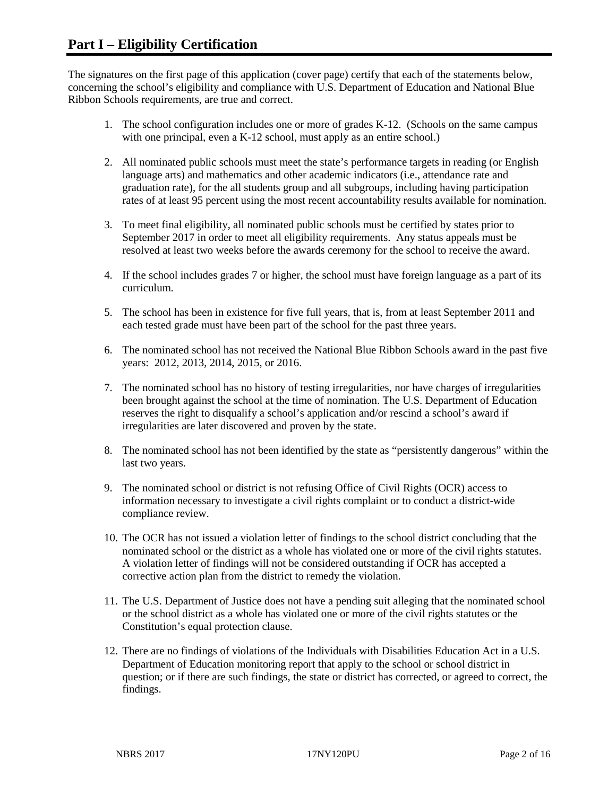The signatures on the first page of this application (cover page) certify that each of the statements below, concerning the school's eligibility and compliance with U.S. Department of Education and National Blue Ribbon Schools requirements, are true and correct.

- 1. The school configuration includes one or more of grades K-12. (Schools on the same campus with one principal, even a K-12 school, must apply as an entire school.)
- 2. All nominated public schools must meet the state's performance targets in reading (or English language arts) and mathematics and other academic indicators (i.e., attendance rate and graduation rate), for the all students group and all subgroups, including having participation rates of at least 95 percent using the most recent accountability results available for nomination.
- 3. To meet final eligibility, all nominated public schools must be certified by states prior to September 2017 in order to meet all eligibility requirements. Any status appeals must be resolved at least two weeks before the awards ceremony for the school to receive the award.
- 4. If the school includes grades 7 or higher, the school must have foreign language as a part of its curriculum.
- 5. The school has been in existence for five full years, that is, from at least September 2011 and each tested grade must have been part of the school for the past three years.
- 6. The nominated school has not received the National Blue Ribbon Schools award in the past five years: 2012, 2013, 2014, 2015, or 2016.
- 7. The nominated school has no history of testing irregularities, nor have charges of irregularities been brought against the school at the time of nomination. The U.S. Department of Education reserves the right to disqualify a school's application and/or rescind a school's award if irregularities are later discovered and proven by the state.
- 8. The nominated school has not been identified by the state as "persistently dangerous" within the last two years.
- 9. The nominated school or district is not refusing Office of Civil Rights (OCR) access to information necessary to investigate a civil rights complaint or to conduct a district-wide compliance review.
- 10. The OCR has not issued a violation letter of findings to the school district concluding that the nominated school or the district as a whole has violated one or more of the civil rights statutes. A violation letter of findings will not be considered outstanding if OCR has accepted a corrective action plan from the district to remedy the violation.
- 11. The U.S. Department of Justice does not have a pending suit alleging that the nominated school or the school district as a whole has violated one or more of the civil rights statutes or the Constitution's equal protection clause.
- 12. There are no findings of violations of the Individuals with Disabilities Education Act in a U.S. Department of Education monitoring report that apply to the school or school district in question; or if there are such findings, the state or district has corrected, or agreed to correct, the findings.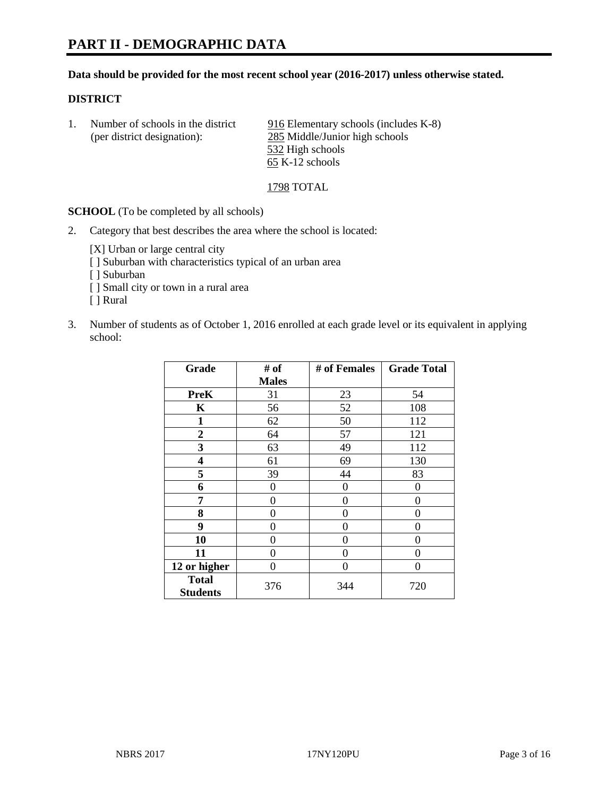# **Data should be provided for the most recent school year (2016-2017) unless otherwise stated.**

# **DISTRICT**

1. Number of schools in the district 916 Elementary schools (includes K-8) (per district designation): 285 Middle/Junior high schools 532 High schools 65 K-12 schools

1798 TOTAL

**SCHOOL** (To be completed by all schools)

2. Category that best describes the area where the school is located:

[X] Urban or large central city

- [ ] Suburban with characteristics typical of an urban area
- [ ] Suburban
- [ ] Small city or town in a rural area
- [ ] Rural
- 3. Number of students as of October 1, 2016 enrolled at each grade level or its equivalent in applying school:

| Grade                           | # of         | # of Females | <b>Grade Total</b> |
|---------------------------------|--------------|--------------|--------------------|
|                                 | <b>Males</b> |              |                    |
| <b>PreK</b>                     | 31           | 23           | 54                 |
| $\mathbf K$                     | 56           | 52           | 108                |
| $\mathbf{1}$                    | 62           | 50           | 112                |
| $\overline{2}$                  | 64           | 57           | 121                |
| 3                               | 63           | 49           | 112                |
| 4                               | 61           | 69           | 130                |
| 5                               | 39           | 44           | 83                 |
| 6                               | $\theta$     | $\theta$     | 0                  |
| 7                               | 0            | 0            | 0                  |
| 8                               | $\theta$     | $\theta$     | 0                  |
| 9                               | 0            | 0            | 0                  |
| 10                              | 0            | 0            | 0                  |
| 11                              | 0            | 0            | 0                  |
| 12 or higher                    | 0            | 0            | 0                  |
| <b>Total</b><br><b>Students</b> | 376          | 344          | 720                |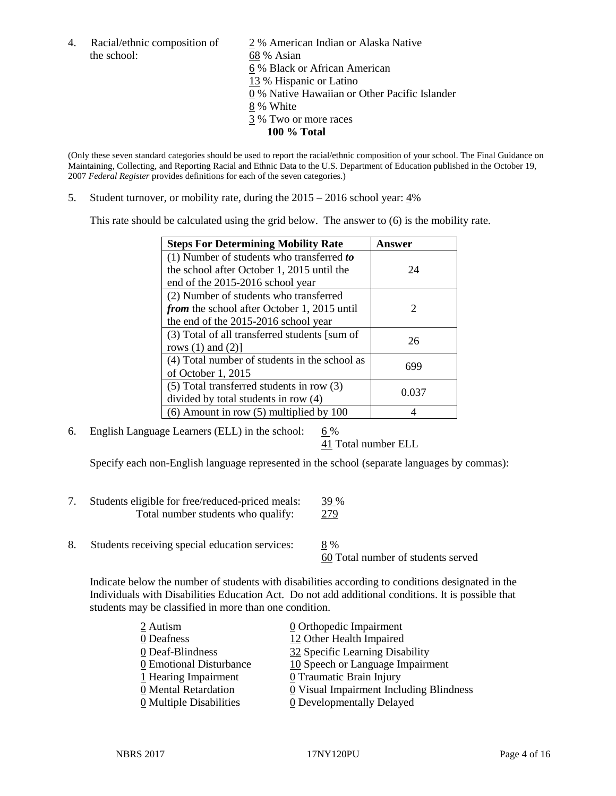the school: 68 % Asian

4. Racial/ethnic composition of  $\frac{2}{9}$ % American Indian or Alaska Native 6 % Black or African American 13 % Hispanic or Latino 0 % Native Hawaiian or Other Pacific Islander 8 % White 3 % Two or more races **100 % Total**

(Only these seven standard categories should be used to report the racial/ethnic composition of your school. The Final Guidance on Maintaining, Collecting, and Reporting Racial and Ethnic Data to the U.S. Department of Education published in the October 19, 2007 *Federal Register* provides definitions for each of the seven categories.)

5. Student turnover, or mobility rate, during the 2015 – 2016 school year: 4%

This rate should be calculated using the grid below. The answer to (6) is the mobility rate.

| <b>Steps For Determining Mobility Rate</b>         | Answer                      |
|----------------------------------------------------|-----------------------------|
| (1) Number of students who transferred to          |                             |
| the school after October 1, 2015 until the         | 24                          |
| end of the 2015-2016 school year                   |                             |
| (2) Number of students who transferred             |                             |
| <i>from</i> the school after October 1, 2015 until | $\mathcal{D}_{\mathcal{L}}$ |
| the end of the 2015-2016 school year               |                             |
| (3) Total of all transferred students [sum of      | 26                          |
| rows $(1)$ and $(2)$ ]                             |                             |
| (4) Total number of students in the school as      | 699                         |
| of October 1, 2015                                 |                             |
| (5) Total transferred students in row (3)          |                             |
| divided by total students in row (4)               | 0.037                       |
| $(6)$ Amount in row $(5)$ multiplied by 100        |                             |

6. English Language Learners (ELL) in the school:  $6\%$ 

41 Total number ELL

Specify each non-English language represented in the school (separate languages by commas):

- 7. Students eligible for free/reduced-priced meals: 39 % Total number students who qualify: 279
- 8. Students receiving special education services: 8 %

60 Total number of students served

Indicate below the number of students with disabilities according to conditions designated in the Individuals with Disabilities Education Act. Do not add additional conditions. It is possible that students may be classified in more than one condition.

| 2 Autism                              | $\underline{0}$ Orthopedic Impairment   |
|---------------------------------------|-----------------------------------------|
| 0 Deafness                            | 12 Other Health Impaired                |
| 0 Deaf-Blindness                      | 32 Specific Learning Disability         |
| 0 Emotional Disturbance               | 10 Speech or Language Impairment        |
| 1 Hearing Impairment                  | 0 Traumatic Brain Injury                |
| 0 Mental Retardation                  | 0 Visual Impairment Including Blindness |
| $\underline{0}$ Multiple Disabilities | <b>0</b> Developmentally Delayed        |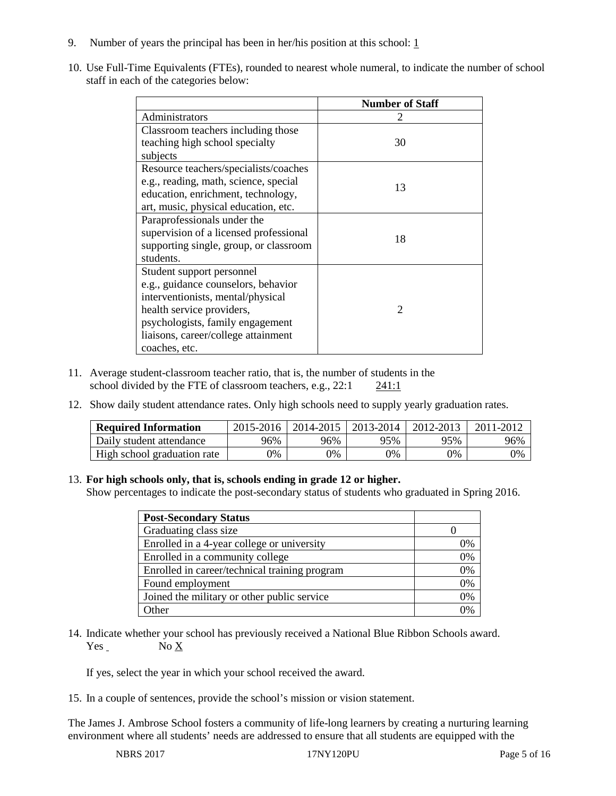- 9. Number of years the principal has been in her/his position at this school:  $1$
- 10. Use Full-Time Equivalents (FTEs), rounded to nearest whole numeral, to indicate the number of school staff in each of the categories below:

|                                        | <b>Number of Staff</b> |
|----------------------------------------|------------------------|
| Administrators                         |                        |
| Classroom teachers including those     |                        |
| teaching high school specialty         | 30                     |
| subjects                               |                        |
| Resource teachers/specialists/coaches  |                        |
| e.g., reading, math, science, special  | 13                     |
| education, enrichment, technology,     |                        |
| art, music, physical education, etc.   |                        |
| Paraprofessionals under the            |                        |
| supervision of a licensed professional | 18                     |
| supporting single, group, or classroom |                        |
| students.                              |                        |
| Student support personnel              |                        |
| e.g., guidance counselors, behavior    |                        |
| interventionists, mental/physical      |                        |
| health service providers,              | $\mathfrak{D}$         |
| psychologists, family engagement       |                        |
| liaisons, career/college attainment    |                        |
| coaches, etc.                          |                        |

- 11. Average student-classroom teacher ratio, that is, the number of students in the school divided by the FTE of classroom teachers, e.g., 22:1 241:1
- 12. Show daily student attendance rates. Only high schools need to supply yearly graduation rates.

| <b>Required Information</b> | 2015-2016 | 2014-2015 | 2013-2014 | 2012-2013 |     |
|-----------------------------|-----------|-----------|-----------|-----------|-----|
| Daily student attendance    | 96%       | 96%       | 95%       | 95%       | 96% |
| High school graduation rate | 0%        | 0%        | 0%        | 9%        | 0%  |

# 13. **For high schools only, that is, schools ending in grade 12 or higher.**

Show percentages to indicate the post-secondary status of students who graduated in Spring 2016.

| <b>Post-Secondary Status</b>                  |    |
|-----------------------------------------------|----|
| Graduating class size                         |    |
| Enrolled in a 4-year college or university    | 0% |
| Enrolled in a community college               | 0% |
| Enrolled in career/technical training program | 0% |
| Found employment                              | 0% |
| Joined the military or other public service   | 0% |
| Other                                         |    |

14. Indicate whether your school has previously received a National Blue Ribbon Schools award. Yes No X

If yes, select the year in which your school received the award.

15. In a couple of sentences, provide the school's mission or vision statement.

The James J. Ambrose School fosters a community of life-long learners by creating a nurturing learning environment where all students' needs are addressed to ensure that all students are equipped with the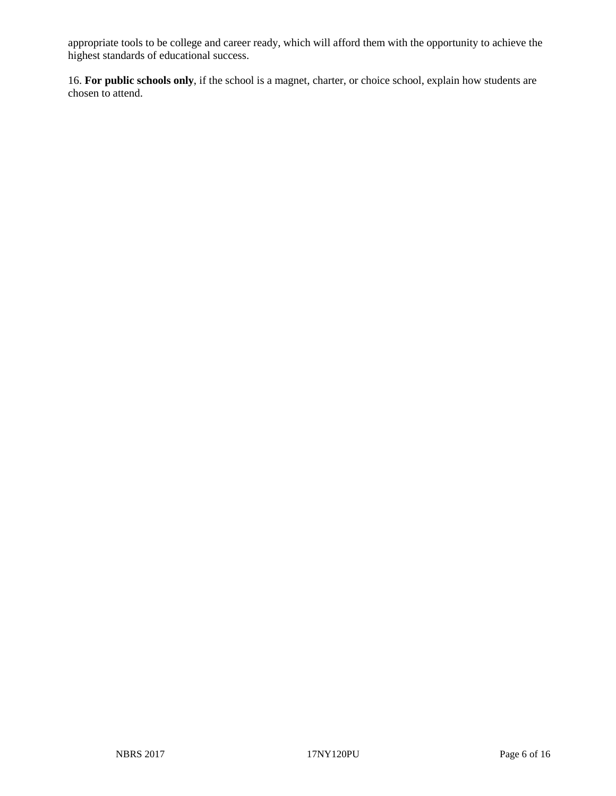appropriate tools to be college and career ready, which will afford them with the opportunity to achieve the highest standards of educational success.

16. **For public schools only**, if the school is a magnet, charter, or choice school, explain how students are chosen to attend.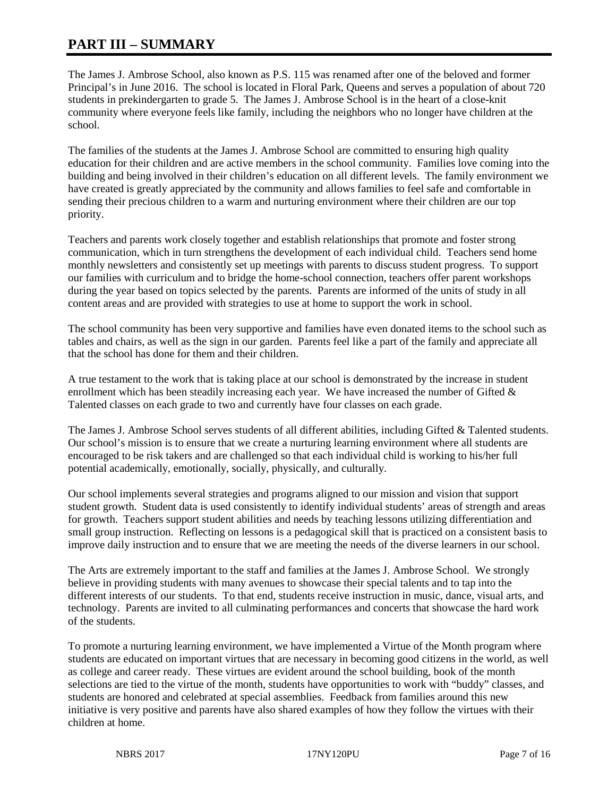# **PART III – SUMMARY**

The James J. Ambrose School, also known as P.S. 115 was renamed after one of the beloved and former Principal's in June 2016. The school is located in Floral Park, Queens and serves a population of about 720 students in prekindergarten to grade 5. The James J. Ambrose School is in the heart of a close-knit community where everyone feels like family, including the neighbors who no longer have children at the school.

The families of the students at the James J. Ambrose School are committed to ensuring high quality education for their children and are active members in the school community. Families love coming into the building and being involved in their children's education on all different levels. The family environment we have created is greatly appreciated by the community and allows families to feel safe and comfortable in sending their precious children to a warm and nurturing environment where their children are our top priority.

Teachers and parents work closely together and establish relationships that promote and foster strong communication, which in turn strengthens the development of each individual child. Teachers send home monthly newsletters and consistently set up meetings with parents to discuss student progress. To support our families with curriculum and to bridge the home-school connection, teachers offer parent workshops during the year based on topics selected by the parents. Parents are informed of the units of study in all content areas and are provided with strategies to use at home to support the work in school.

The school community has been very supportive and families have even donated items to the school such as tables and chairs, as well as the sign in our garden. Parents feel like a part of the family and appreciate all that the school has done for them and their children.

A true testament to the work that is taking place at our school is demonstrated by the increase in student enrollment which has been steadily increasing each year. We have increased the number of Gifted  $\&$ Talented classes on each grade to two and currently have four classes on each grade.

The James J. Ambrose School serves students of all different abilities, including Gifted & Talented students. Our school's mission is to ensure that we create a nurturing learning environment where all students are encouraged to be risk takers and are challenged so that each individual child is working to his/her full potential academically, emotionally, socially, physically, and culturally.

Our school implements several strategies and programs aligned to our mission and vision that support student growth. Student data is used consistently to identify individual students' areas of strength and areas for growth. Teachers support student abilities and needs by teaching lessons utilizing differentiation and small group instruction. Reflecting on lessons is a pedagogical skill that is practiced on a consistent basis to improve daily instruction and to ensure that we are meeting the needs of the diverse learners in our school.

The Arts are extremely important to the staff and families at the James J. Ambrose School. We strongly believe in providing students with many avenues to showcase their special talents and to tap into the different interests of our students. To that end, students receive instruction in music, dance, visual arts, and technology. Parents are invited to all culminating performances and concerts that showcase the hard work of the students.

To promote a nurturing learning environment, we have implemented a Virtue of the Month program where students are educated on important virtues that are necessary in becoming good citizens in the world, as well as college and career ready. These virtues are evident around the school building, book of the month selections are tied to the virtue of the month, students have opportunities to work with "buddy" classes, and students are honored and celebrated at special assemblies. Feedback from families around this new initiative is very positive and parents have also shared examples of how they follow the virtues with their children at home.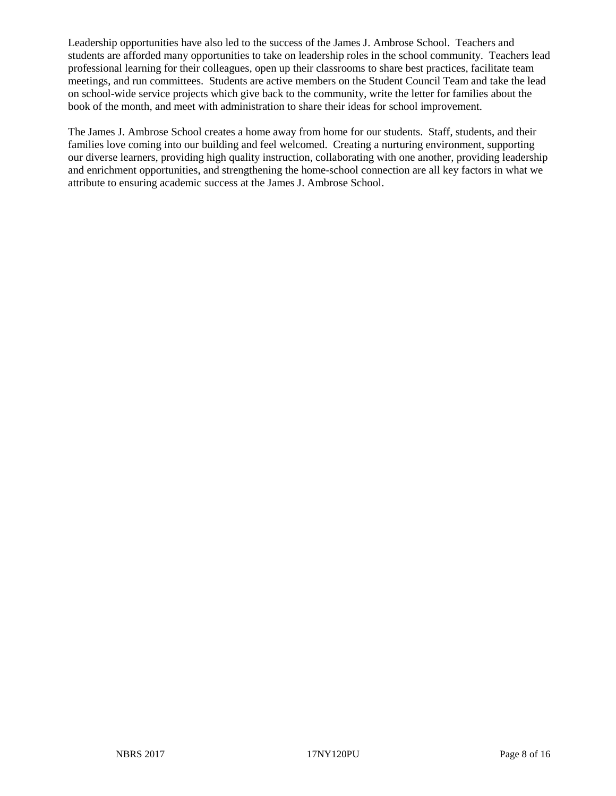Leadership opportunities have also led to the success of the James J. Ambrose School. Teachers and students are afforded many opportunities to take on leadership roles in the school community. Teachers lead professional learning for their colleagues, open up their classrooms to share best practices, facilitate team meetings, and run committees. Students are active members on the Student Council Team and take the lead on school-wide service projects which give back to the community, write the letter for families about the book of the month, and meet with administration to share their ideas for school improvement.

The James J. Ambrose School creates a home away from home for our students. Staff, students, and their families love coming into our building and feel welcomed. Creating a nurturing environment, supporting our diverse learners, providing high quality instruction, collaborating with one another, providing leadership and enrichment opportunities, and strengthening the home-school connection are all key factors in what we attribute to ensuring academic success at the James J. Ambrose School.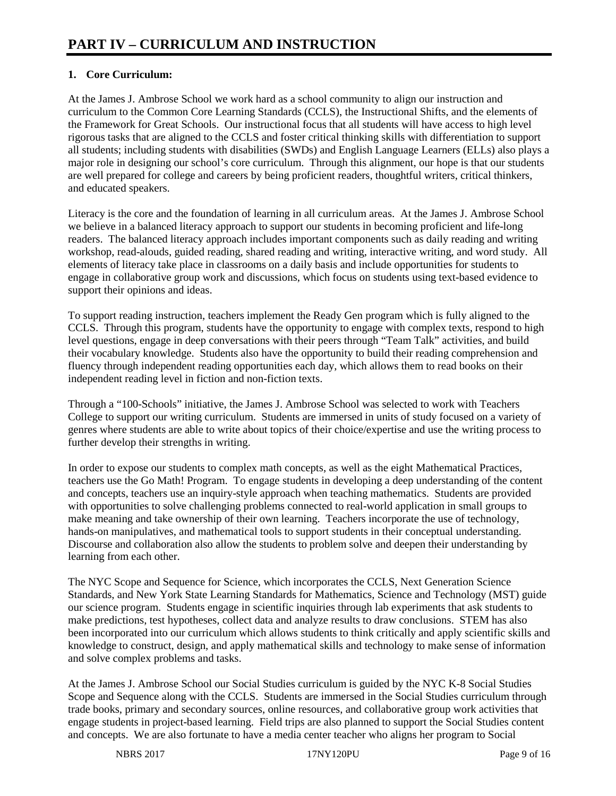# **1. Core Curriculum:**

At the James J. Ambrose School we work hard as a school community to align our instruction and curriculum to the Common Core Learning Standards (CCLS), the Instructional Shifts, and the elements of the Framework for Great Schools. Our instructional focus that all students will have access to high level rigorous tasks that are aligned to the CCLS and foster critical thinking skills with differentiation to support all students; including students with disabilities (SWDs) and English Language Learners (ELLs) also plays a major role in designing our school's core curriculum. Through this alignment, our hope is that our students are well prepared for college and careers by being proficient readers, thoughtful writers, critical thinkers, and educated speakers.

Literacy is the core and the foundation of learning in all curriculum areas. At the James J. Ambrose School we believe in a balanced literacy approach to support our students in becoming proficient and life-long readers. The balanced literacy approach includes important components such as daily reading and writing workshop, read-alouds, guided reading, shared reading and writing, interactive writing, and word study. All elements of literacy take place in classrooms on a daily basis and include opportunities for students to engage in collaborative group work and discussions, which focus on students using text-based evidence to support their opinions and ideas.

To support reading instruction, teachers implement the Ready Gen program which is fully aligned to the CCLS. Through this program, students have the opportunity to engage with complex texts, respond to high level questions, engage in deep conversations with their peers through "Team Talk" activities, and build their vocabulary knowledge. Students also have the opportunity to build their reading comprehension and fluency through independent reading opportunities each day, which allows them to read books on their independent reading level in fiction and non-fiction texts.

Through a "100-Schools" initiative, the James J. Ambrose School was selected to work with Teachers College to support our writing curriculum. Students are immersed in units of study focused on a variety of genres where students are able to write about topics of their choice/expertise and use the writing process to further develop their strengths in writing.

In order to expose our students to complex math concepts, as well as the eight Mathematical Practices, teachers use the Go Math! Program. To engage students in developing a deep understanding of the content and concepts, teachers use an inquiry-style approach when teaching mathematics. Students are provided with opportunities to solve challenging problems connected to real-world application in small groups to make meaning and take ownership of their own learning. Teachers incorporate the use of technology, hands-on manipulatives, and mathematical tools to support students in their conceptual understanding. Discourse and collaboration also allow the students to problem solve and deepen their understanding by learning from each other.

The NYC Scope and Sequence for Science, which incorporates the CCLS, Next Generation Science Standards, and New York State Learning Standards for Mathematics, Science and Technology (MST) guide our science program. Students engage in scientific inquiries through lab experiments that ask students to make predictions, test hypotheses, collect data and analyze results to draw conclusions. STEM has also been incorporated into our curriculum which allows students to think critically and apply scientific skills and knowledge to construct, design, and apply mathematical skills and technology to make sense of information and solve complex problems and tasks.

At the James J. Ambrose School our Social Studies curriculum is guided by the NYC K-8 Social Studies Scope and Sequence along with the CCLS. Students are immersed in the Social Studies curriculum through trade books, primary and secondary sources, online resources, and collaborative group work activities that engage students in project-based learning. Field trips are also planned to support the Social Studies content and concepts. We are also fortunate to have a media center teacher who aligns her program to Social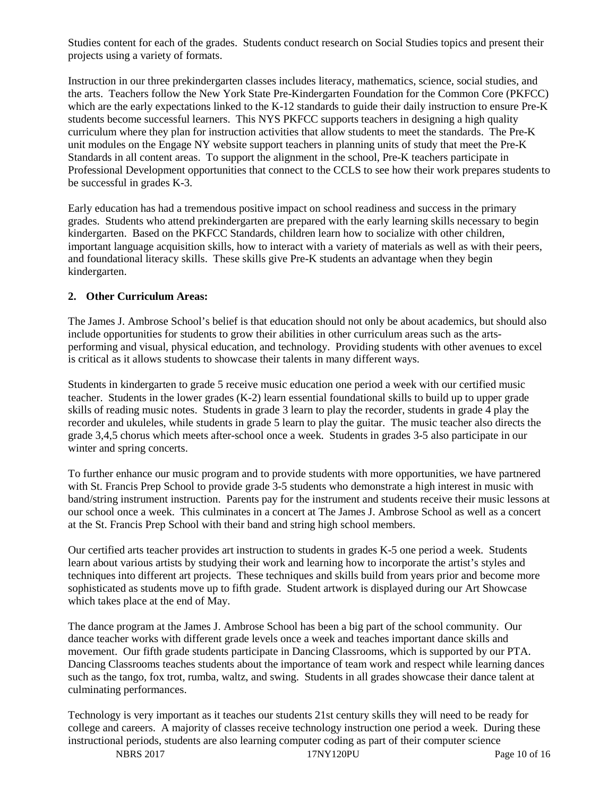Studies content for each of the grades. Students conduct research on Social Studies topics and present their projects using a variety of formats.

Instruction in our three prekindergarten classes includes literacy, mathematics, science, social studies, and the arts. Teachers follow the New York State Pre-Kindergarten Foundation for the Common Core (PKFCC) which are the early expectations linked to the K-12 standards to guide their daily instruction to ensure Pre-K students become successful learners. This NYS PKFCC supports teachers in designing a high quality curriculum where they plan for instruction activities that allow students to meet the standards. The Pre-K unit modules on the Engage NY website support teachers in planning units of study that meet the Pre-K Standards in all content areas. To support the alignment in the school, Pre-K teachers participate in Professional Development opportunities that connect to the CCLS to see how their work prepares students to be successful in grades K-3.

Early education has had a tremendous positive impact on school readiness and success in the primary grades. Students who attend prekindergarten are prepared with the early learning skills necessary to begin kindergarten. Based on the PKFCC Standards, children learn how to socialize with other children, important language acquisition skills, how to interact with a variety of materials as well as with their peers, and foundational literacy skills. These skills give Pre-K students an advantage when they begin kindergarten.

# **2. Other Curriculum Areas:**

The James J. Ambrose School's belief is that education should not only be about academics, but should also include opportunities for students to grow their abilities in other curriculum areas such as the artsperforming and visual, physical education, and technology. Providing students with other avenues to excel is critical as it allows students to showcase their talents in many different ways.

Students in kindergarten to grade 5 receive music education one period a week with our certified music teacher. Students in the lower grades (K-2) learn essential foundational skills to build up to upper grade skills of reading music notes. Students in grade 3 learn to play the recorder, students in grade 4 play the recorder and ukuleles, while students in grade 5 learn to play the guitar. The music teacher also directs the grade 3,4,5 chorus which meets after-school once a week. Students in grades 3-5 also participate in our winter and spring concerts.

To further enhance our music program and to provide students with more opportunities, we have partnered with St. Francis Prep School to provide grade 3-5 students who demonstrate a high interest in music with band/string instrument instruction. Parents pay for the instrument and students receive their music lessons at our school once a week. This culminates in a concert at The James J. Ambrose School as well as a concert at the St. Francis Prep School with their band and string high school members.

Our certified arts teacher provides art instruction to students in grades K-5 one period a week. Students learn about various artists by studying their work and learning how to incorporate the artist's styles and techniques into different art projects. These techniques and skills build from years prior and become more sophisticated as students move up to fifth grade. Student artwork is displayed during our Art Showcase which takes place at the end of May.

The dance program at the James J. Ambrose School has been a big part of the school community. Our dance teacher works with different grade levels once a week and teaches important dance skills and movement. Our fifth grade students participate in Dancing Classrooms, which is supported by our PTA. Dancing Classrooms teaches students about the importance of team work and respect while learning dances such as the tango, fox trot, rumba, waltz, and swing. Students in all grades showcase their dance talent at culminating performances.

Technology is very important as it teaches our students 21st century skills they will need to be ready for college and careers. A majority of classes receive technology instruction one period a week. During these instructional periods, students are also learning computer coding as part of their computer science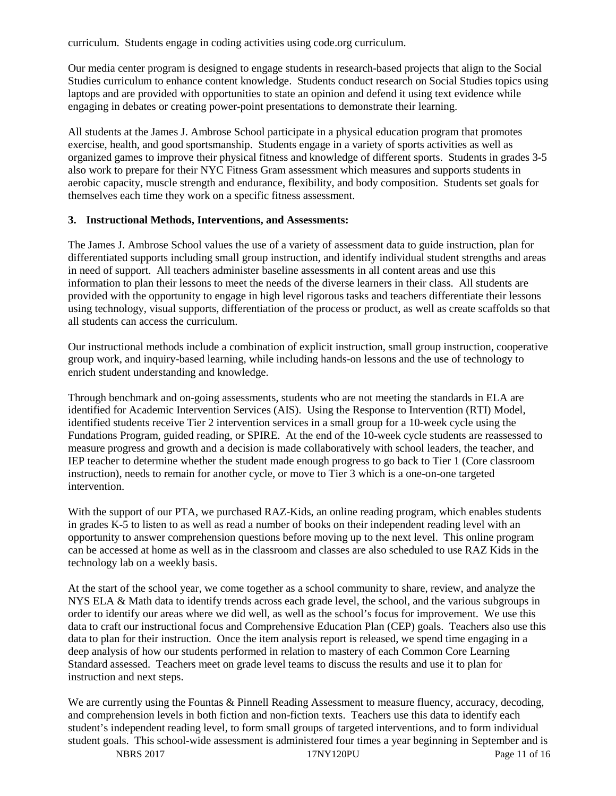curriculum. Students engage in coding activities using code.org curriculum.

Our media center program is designed to engage students in research-based projects that align to the Social Studies curriculum to enhance content knowledge. Students conduct research on Social Studies topics using laptops and are provided with opportunities to state an opinion and defend it using text evidence while engaging in debates or creating power-point presentations to demonstrate their learning.

All students at the James J. Ambrose School participate in a physical education program that promotes exercise, health, and good sportsmanship. Students engage in a variety of sports activities as well as organized games to improve their physical fitness and knowledge of different sports. Students in grades 3-5 also work to prepare for their NYC Fitness Gram assessment which measures and supports students in aerobic capacity, muscle strength and endurance, flexibility, and body composition. Students set goals for themselves each time they work on a specific fitness assessment.

#### **3. Instructional Methods, Interventions, and Assessments:**

The James J. Ambrose School values the use of a variety of assessment data to guide instruction, plan for differentiated supports including small group instruction, and identify individual student strengths and areas in need of support. All teachers administer baseline assessments in all content areas and use this information to plan their lessons to meet the needs of the diverse learners in their class. All students are provided with the opportunity to engage in high level rigorous tasks and teachers differentiate their lessons using technology, visual supports, differentiation of the process or product, as well as create scaffolds so that all students can access the curriculum.

Our instructional methods include a combination of explicit instruction, small group instruction, cooperative group work, and inquiry-based learning, while including hands-on lessons and the use of technology to enrich student understanding and knowledge.

Through benchmark and on-going assessments, students who are not meeting the standards in ELA are identified for Academic Intervention Services (AIS). Using the Response to Intervention (RTI) Model, identified students receive Tier 2 intervention services in a small group for a 10-week cycle using the Fundations Program, guided reading, or SPIRE. At the end of the 10-week cycle students are reassessed to measure progress and growth and a decision is made collaboratively with school leaders, the teacher, and IEP teacher to determine whether the student made enough progress to go back to Tier 1 (Core classroom instruction), needs to remain for another cycle, or move to Tier 3 which is a one-on-one targeted intervention.

With the support of our PTA, we purchased RAZ-Kids, an online reading program, which enables students in grades K-5 to listen to as well as read a number of books on their independent reading level with an opportunity to answer comprehension questions before moving up to the next level. This online program can be accessed at home as well as in the classroom and classes are also scheduled to use RAZ Kids in the technology lab on a weekly basis.

At the start of the school year, we come together as a school community to share, review, and analyze the NYS ELA & Math data to identify trends across each grade level, the school, and the various subgroups in order to identify our areas where we did well, as well as the school's focus for improvement. We use this data to craft our instructional focus and Comprehensive Education Plan (CEP) goals. Teachers also use this data to plan for their instruction. Once the item analysis report is released, we spend time engaging in a deep analysis of how our students performed in relation to mastery of each Common Core Learning Standard assessed. Teachers meet on grade level teams to discuss the results and use it to plan for instruction and next steps.

We are currently using the Fountas & Pinnell Reading Assessment to measure fluency, accuracy, decoding, and comprehension levels in both fiction and non-fiction texts. Teachers use this data to identify each student's independent reading level, to form small groups of targeted interventions, and to form individual student goals. This school-wide assessment is administered four times a year beginning in September and is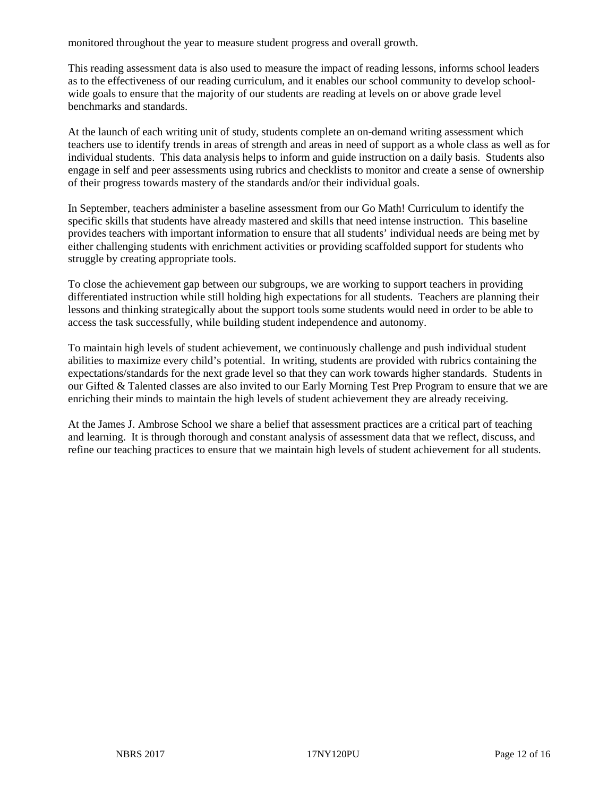monitored throughout the year to measure student progress and overall growth.

This reading assessment data is also used to measure the impact of reading lessons, informs school leaders as to the effectiveness of our reading curriculum, and it enables our school community to develop schoolwide goals to ensure that the majority of our students are reading at levels on or above grade level benchmarks and standards.

At the launch of each writing unit of study, students complete an on-demand writing assessment which teachers use to identify trends in areas of strength and areas in need of support as a whole class as well as for individual students. This data analysis helps to inform and guide instruction on a daily basis. Students also engage in self and peer assessments using rubrics and checklists to monitor and create a sense of ownership of their progress towards mastery of the standards and/or their individual goals.

In September, teachers administer a baseline assessment from our Go Math! Curriculum to identify the specific skills that students have already mastered and skills that need intense instruction. This baseline provides teachers with important information to ensure that all students' individual needs are being met by either challenging students with enrichment activities or providing scaffolded support for students who struggle by creating appropriate tools.

To close the achievement gap between our subgroups, we are working to support teachers in providing differentiated instruction while still holding high expectations for all students. Teachers are planning their lessons and thinking strategically about the support tools some students would need in order to be able to access the task successfully, while building student independence and autonomy.

To maintain high levels of student achievement, we continuously challenge and push individual student abilities to maximize every child's potential. In writing, students are provided with rubrics containing the expectations/standards for the next grade level so that they can work towards higher standards. Students in our Gifted & Talented classes are also invited to our Early Morning Test Prep Program to ensure that we are enriching their minds to maintain the high levels of student achievement they are already receiving.

At the James J. Ambrose School we share a belief that assessment practices are a critical part of teaching and learning. It is through thorough and constant analysis of assessment data that we reflect, discuss, and refine our teaching practices to ensure that we maintain high levels of student achievement for all students.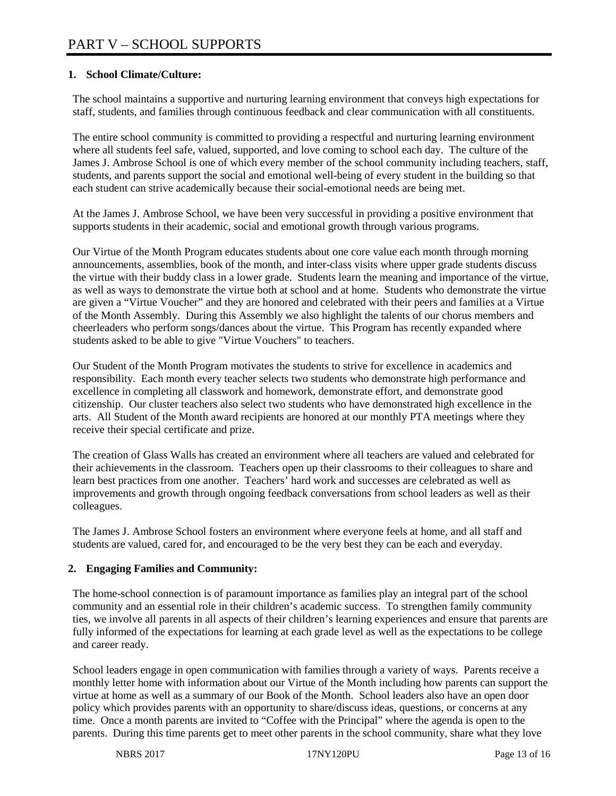# **1. School Climate/Culture:**

The school maintains a supportive and nurturing learning environment that conveys high expectations for staff, students, and families through continuous feedback and clear communication with all constituents.

The entire school community is committed to providing a respectful and nurturing learning environment where all students feel safe, valued, supported, and love coming to school each day. The culture of the James J. Ambrose School is one of which every member of the school community including teachers, staff, students, and parents support the social and emotional well-being of every student in the building so that each student can strive academically because their social-emotional needs are being met.

At the James J. Ambrose School, we have been very successful in providing a positive environment that supports students in their academic, social and emotional growth through various programs.

Our Virtue of the Month Program educates students about one core value each month through morning announcements, assemblies, book of the month, and inter-class visits where upper grade students discuss the virtue with their buddy class in a lower grade. Students learn the meaning and importance of the virtue, as well as ways to demonstrate the virtue both at school and at home. Students who demonstrate the virtue are given a "Virtue Voucher" and they are honored and celebrated with their peers and families at a Virtue of the Month Assembly. During this Assembly we also highlight the talents of our chorus members and cheerleaders who perform songs/dances about the virtue. This Program has recently expanded where students asked to be able to give "Virtue Vouchers" to teachers.

Our Student of the Month Program motivates the students to strive for excellence in academics and responsibility. Each month every teacher selects two students who demonstrate high performance and excellence in completing all classwork and homework, demonstrate effort, and demonstrate good citizenship. Our cluster teachers also select two students who have demonstrated high excellence in the arts. All Student of the Month award recipients are honored at our monthly PTA meetings where they receive their special certificate and prize.

The creation of Glass Walls has created an environment where all teachers are valued and celebrated for their achievements in the classroom. Teachers open up their classrooms to their colleagues to share and learn best practices from one another. Teachers' hard work and successes are celebrated as well as improvements and growth through ongoing feedback conversations from school leaders as well as their colleagues.

The James J. Ambrose School fosters an environment where everyone feels at home, and all staff and students are valued, cared for, and encouraged to be the very best they can be each and everyday.

# **2. Engaging Families and Community:**

The home-school connection is of paramount importance as families play an integral part of the school community and an essential role in their children's academic success. To strengthen family community ties, we involve all parents in all aspects of their children's learning experiences and ensure that parents are fully informed of the expectations for learning at each grade level as well as the expectations to be college and career ready.

School leaders engage in open communication with families through a variety of ways. Parents receive a monthly letter home with information about our Virtue of the Month including how parents can support the virtue at home as well as a summary of our Book of the Month. School leaders also have an open door policy which provides parents with an opportunity to share/discuss ideas, questions, or concerns at any time. Once a month parents are invited to "Coffee with the Principal" where the agenda is open to the parents. During this time parents get to meet other parents in the school community, share what they love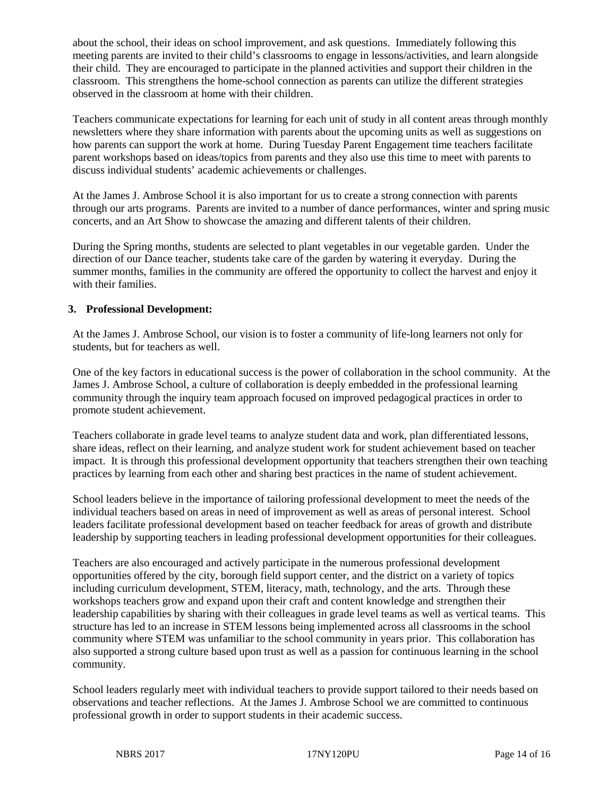about the school, their ideas on school improvement, and ask questions. Immediately following this meeting parents are invited to their child's classrooms to engage in lessons/activities, and learn alongside their child. They are encouraged to participate in the planned activities and support their children in the classroom. This strengthens the home-school connection as parents can utilize the different strategies observed in the classroom at home with their children.

Teachers communicate expectations for learning for each unit of study in all content areas through monthly newsletters where they share information with parents about the upcoming units as well as suggestions on how parents can support the work at home. During Tuesday Parent Engagement time teachers facilitate parent workshops based on ideas/topics from parents and they also use this time to meet with parents to discuss individual students' academic achievements or challenges.

At the James J. Ambrose School it is also important for us to create a strong connection with parents through our arts programs. Parents are invited to a number of dance performances, winter and spring music concerts, and an Art Show to showcase the amazing and different talents of their children.

During the Spring months, students are selected to plant vegetables in our vegetable garden. Under the direction of our Dance teacher, students take care of the garden by watering it everyday. During the summer months, families in the community are offered the opportunity to collect the harvest and enjoy it with their families.

# **3. Professional Development:**

At the James J. Ambrose School, our vision is to foster a community of life-long learners not only for students, but for teachers as well.

One of the key factors in educational success is the power of collaboration in the school community. At the James J. Ambrose School, a culture of collaboration is deeply embedded in the professional learning community through the inquiry team approach focused on improved pedagogical practices in order to promote student achievement.

Teachers collaborate in grade level teams to analyze student data and work, plan differentiated lessons, share ideas, reflect on their learning, and analyze student work for student achievement based on teacher impact. It is through this professional development opportunity that teachers strengthen their own teaching practices by learning from each other and sharing best practices in the name of student achievement.

School leaders believe in the importance of tailoring professional development to meet the needs of the individual teachers based on areas in need of improvement as well as areas of personal interest. School leaders facilitate professional development based on teacher feedback for areas of growth and distribute leadership by supporting teachers in leading professional development opportunities for their colleagues.

Teachers are also encouraged and actively participate in the numerous professional development opportunities offered by the city, borough field support center, and the district on a variety of topics including curriculum development, STEM, literacy, math, technology, and the arts. Through these workshops teachers grow and expand upon their craft and content knowledge and strengthen their leadership capabilities by sharing with their colleagues in grade level teams as well as vertical teams. This structure has led to an increase in STEM lessons being implemented across all classrooms in the school community where STEM was unfamiliar to the school community in years prior. This collaboration has also supported a strong culture based upon trust as well as a passion for continuous learning in the school community.

School leaders regularly meet with individual teachers to provide support tailored to their needs based on observations and teacher reflections. At the James J. Ambrose School we are committed to continuous professional growth in order to support students in their academic success.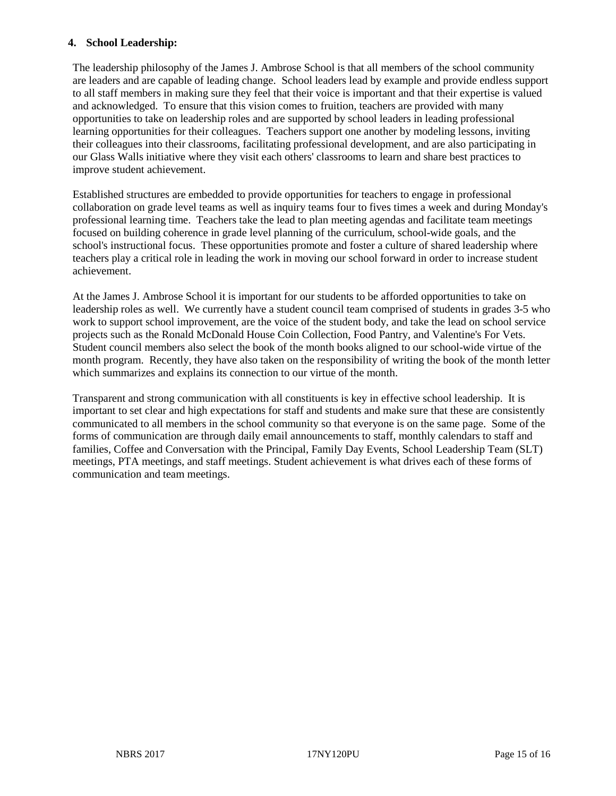# **4. School Leadership:**

The leadership philosophy of the James J. Ambrose School is that all members of the school community are leaders and are capable of leading change. School leaders lead by example and provide endless support to all staff members in making sure they feel that their voice is important and that their expertise is valued and acknowledged. To ensure that this vision comes to fruition, teachers are provided with many opportunities to take on leadership roles and are supported by school leaders in leading professional learning opportunities for their colleagues. Teachers support one another by modeling lessons, inviting their colleagues into their classrooms, facilitating professional development, and are also participating in our Glass Walls initiative where they visit each others' classrooms to learn and share best practices to improve student achievement.

Established structures are embedded to provide opportunities for teachers to engage in professional collaboration on grade level teams as well as inquiry teams four to fives times a week and during Monday's professional learning time. Teachers take the lead to plan meeting agendas and facilitate team meetings focused on building coherence in grade level planning of the curriculum, school-wide goals, and the school's instructional focus. These opportunities promote and foster a culture of shared leadership where teachers play a critical role in leading the work in moving our school forward in order to increase student achievement.

At the James J. Ambrose School it is important for our students to be afforded opportunities to take on leadership roles as well. We currently have a student council team comprised of students in grades 3-5 who work to support school improvement, are the voice of the student body, and take the lead on school service projects such as the Ronald McDonald House Coin Collection, Food Pantry, and Valentine's For Vets. Student council members also select the book of the month books aligned to our school-wide virtue of the month program. Recently, they have also taken on the responsibility of writing the book of the month letter which summarizes and explains its connection to our virtue of the month.

Transparent and strong communication with all constituents is key in effective school leadership. It is important to set clear and high expectations for staff and students and make sure that these are consistently communicated to all members in the school community so that everyone is on the same page. Some of the forms of communication are through daily email announcements to staff, monthly calendars to staff and families, Coffee and Conversation with the Principal, Family Day Events, School Leadership Team (SLT) meetings, PTA meetings, and staff meetings. Student achievement is what drives each of these forms of communication and team meetings.